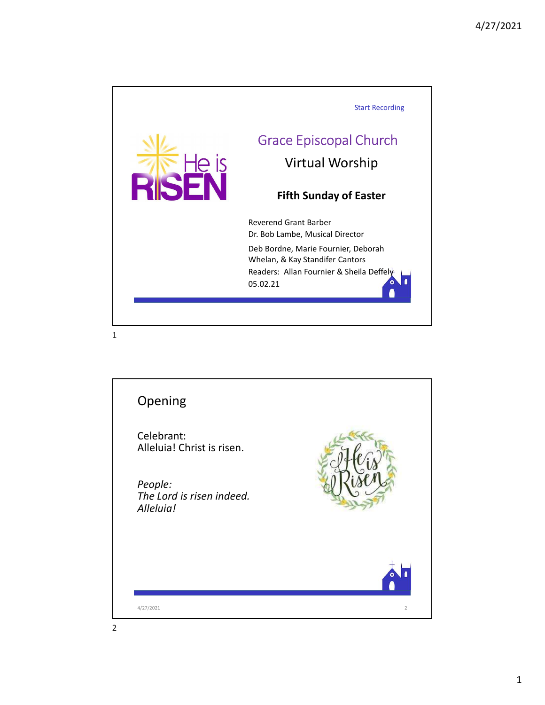

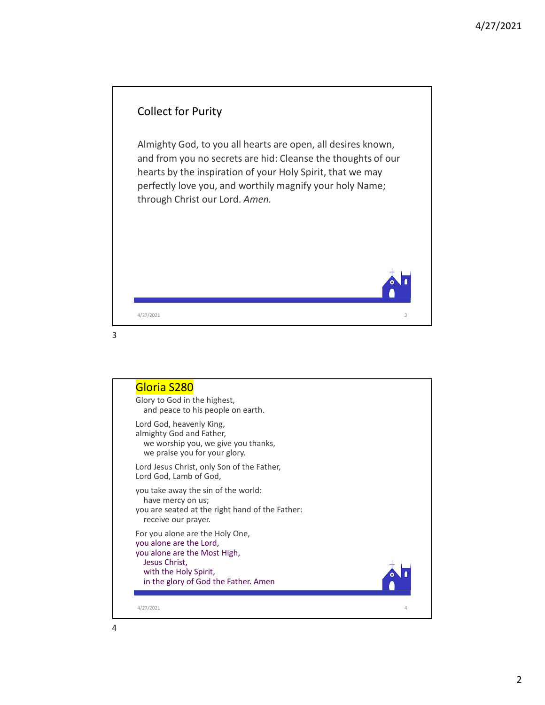

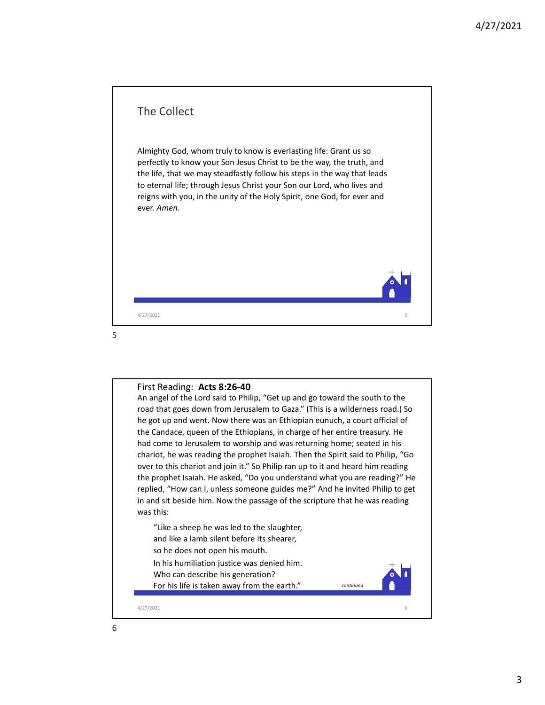

## First Reading: Acts 8:26-40

An angel of the Lord said to Philip, "Get up and go toward the south to the road that goes down from Jerusalem to Gaza." (This is a wilderness road.) So he got up and went. Now there was an Ethiopian eunuch, a court official of the Candace, queen of the Ethiopians, in charge of her entire treasury. He had come to Jerusalem to worship and was returning home; seated in his chariot, he was reading the prophet Isaiah. Then the Spirit said to Philip, "Go over to this chariot and join it." So Philip ran up to it and heard him reading the prophet Isaiah. He asked, "Do you understand what you are reading?" He replied, "How can I, unless someone guides me?" And he invited Philip to get in and sit beside him. Now the passage of the scripture that he was reading was this: First Reading: **Acts 8:26-40**<br>An angel of the Lord said to Philip, "Get up and go toward the south to the<br>road that goes down from Jerusalem to Gaza." (This is a wilderness road.) So<br>the got up and went. Now there was an E

continued

"Like a sheep he was led to the slaughter, and like a lamb silent before its shearer, so he does not open his mouth. In his humiliation justice was denied him. Who can describe his generation? For his life is taken away from the earth."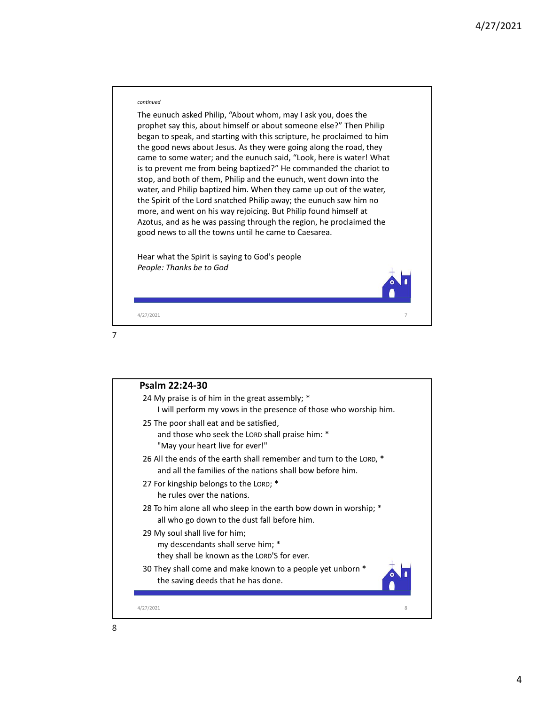## continued

The eunuch asked Philip, "About whom, may I ask you, does the prophet say this, about himself or about someone else?" Then Philip began to speak, and starting with this scripture, he proclaimed to him the good news about Jesus. As they were going along the road, they came to some water; and the eunuch said, "Look, here is water! What is to prevent me from being baptized?" He commanded the chariot to stop, and both of them, Philip and the eunuch, went down into the water, and Philip baptized him. When they came up out of the water, the Spirit of the Lord snatched Philip away; the eunuch saw him no more, and went on his way rejoicing. But Philip found himself at Azotus, and as he was passing through the region, he proclaimed the good news to all the towns until he came to Caesarea. construent<br>The eururch asked Philip, "About whom, may I ask you, does the<br>prophet say this, about himself or about someone else?" Then Philip<br>began to speak, and starting with this scripture, he proclaimed to him<br>the good

Hear what the Spirit is saying to God's people People: Thanks be to God

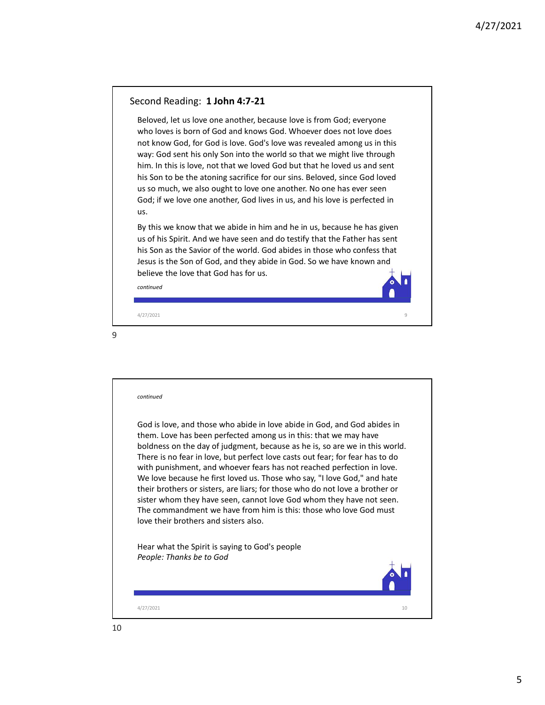## Second Reading: 1 John 4:7-21

Beloved, let us love one another, because love is from God; everyone who loves is born of God and knows God. Whoever does not love does not know God, for God is love. God's love was revealed among us in this way: God sent his only Son into the world so that we might live through him. In this is love, not that we loved God but that he loved us and sent his Son to be the atoning sacrifice for our sins. Beloved, since God loved us so much, we also ought to love one another. No one has ever seen God; if we love one another, God lives in us, and his love is perfected in us. econd Reading: **1 John 4:7-21**<br>Beloved, let us love one another, because love is from God; everyone<br>who loves is born of God and knows God. Whoever does not love does<br>not know God, for God is love. God's love was revealed

By this we know that we abide in him and he in us, because he has given us of his Spirit. And we have seen and do testify that the Father has sent his Son as the Savior of the world. God abides in those who confess that Jesus is the Son of God, and they abide in God. So we have known and believe the love that God has for us.

continued

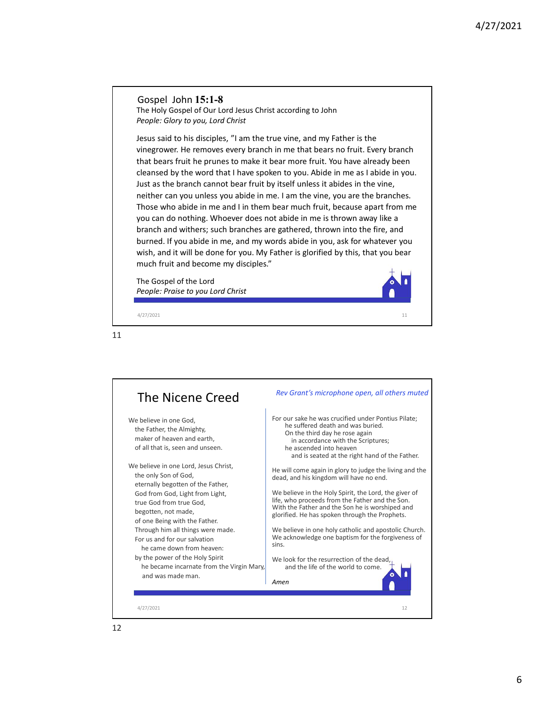Gospel John 15:1-8 The Holy Gospel of Our Lord Jesus Christ according to John People: Glory to you, Lord Christ

Jesus said to his disciples, "I am the true vine, and my Father is the vinegrower. He removes every branch in me that bears no fruit. Every branch that bears fruit he prunes to make it bear more fruit. You have already been cleansed by the word that I have spoken to you. Abide in me as I abide in you. Just as the branch cannot bear fruit by itself unless it abides in the vine, neither can you unless you abide in me. I am the vine, you are the branches. Those who abide in me and I in them bear much fruit, because apart from me you can do nothing. Whoever does not abide in me is thrown away like a branch and withers; such branches are gathered, thrown into the fire, and burned. If you abide in me, and my words abide in you, ask for whatever you wish, and it will be done for you. My Father is glorified by this, that you bear much fruit and become my disciples." Gospel John 15:1-8<br>The Holy Gospel of Our Lord lesus Christ according to John<br>People: Gloy to you, Lord Christ<br>Hency Goy to you, Lord Christ<br>Hesus said to his disciples, "I am the true vine, and my Father is the<br>Vinegrowe

The Gospel of the Lord People: Praise to you Lord Christ

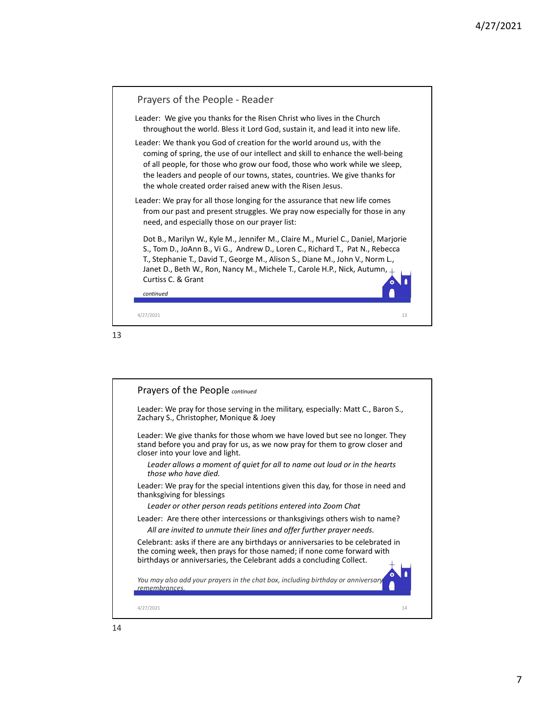

$$
13\quad \ \,
$$

| Prayers of the People continued                                                                                                                                                                                                   |
|-----------------------------------------------------------------------------------------------------------------------------------------------------------------------------------------------------------------------------------|
| Leader: We pray for those serving in the military, especially: Matt C., Baron S.,<br>Zachary S., Christopher, Monique & Joey                                                                                                      |
| Leader: We give thanks for those whom we have loved but see no longer. They<br>stand before you and pray for us, as we now pray for them to grow closer and<br>closer into your love and light.                                   |
| Leader allows a moment of quiet for all to name out loud or in the hearts<br>those who have died.                                                                                                                                 |
| Leader: We pray for the special intentions given this day, for those in need and<br>thanksgiving for blessings                                                                                                                    |
| Leader or other person reads petitions entered into Zoom Chat                                                                                                                                                                     |
| Leader: Are there other intercessions or thanks givings others wish to name?                                                                                                                                                      |
| All are invited to unmute their lines and offer further prayer needs.                                                                                                                                                             |
| Celebrant: asks if there are any birthdays or anniversaries to be celebrated in<br>the coming week, then prays for those named; if none come forward with<br>birthdays or anniversaries, the Celebrant adds a concluding Collect. |
| You may also add your prayers in the chat box, including birthday or anniversary<br>remembrances.                                                                                                                                 |
| 4/27/2021<br>14                                                                                                                                                                                                                   |
|                                                                                                                                                                                                                                   |
|                                                                                                                                                                                                                                   |
|                                                                                                                                                                                                                                   |
|                                                                                                                                                                                                                                   |
|                                                                                                                                                                                                                                   |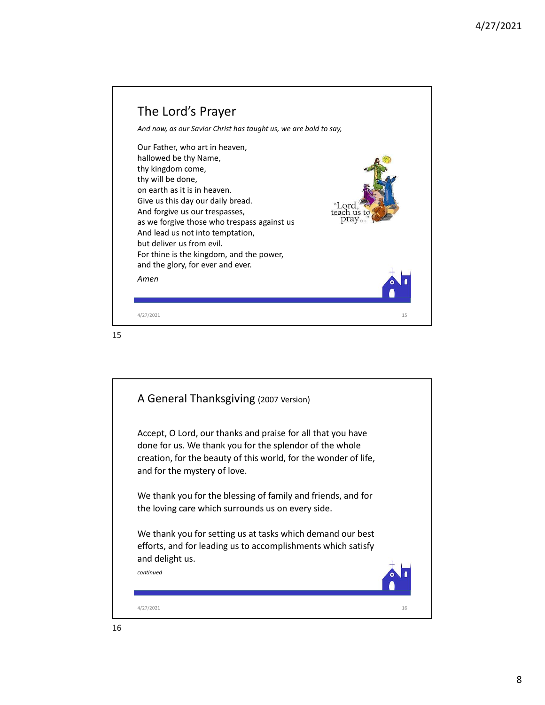

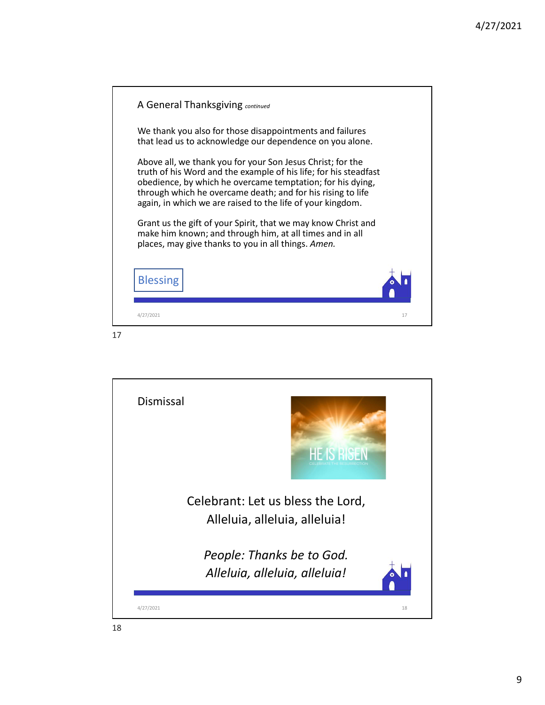